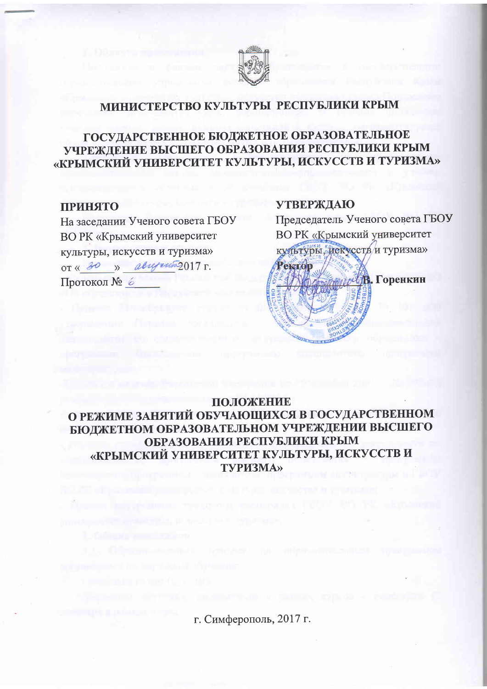

# МИНИСТЕРСТВО КУЛЬТУРЫ РЕСПУБЛИКИ КРЫМ

## ГОСУДАРСТВЕННОЕ БЮДЖЕТНОЕ ОБРАЗОВАТЕЛЬНОЕ УЧРЕЖДЕНИЕ ВЫСШЕГО ОБРАЗОВАНИЯ РЕСПУБЛИКИ КРЫМ «КРЫМСКИЙ УНИВЕРСИТЕТ КУЛЬТУРЫ, ИСКУССТВ И ТУРИЗМА»

### **ПРИНЯТО**

На заседании Ученого совета ГБОУ ВО РК «Крымский университет культуры, искусств и туризма» от « 30 » авизито2017 г. Протокол № 6

### **УТВЕРЖДАЮ**

Председатель Ученого совета ГБОУ ВО РК «Крымский университет культуры, искусств и туризма» Ректор



### ПОЛОЖЕНИЕ

О РЕЖИМЕ ЗАНЯТИЙ ОБУЧАЮЩИХСЯ В ГОСУДАРСТВЕННОМ БЮДЖЕТНОМ ОБРАЗОВАТЕЛЬНОМ УЧРЕЖДЕНИИ ВЫСШЕГО ОБРАЗОВАНИЯ РЕСПУБЛИКИ КРЫМ «КРЫМСКИЙ УНИВЕРСИТЕТ КУЛЬТУРЫ, ИСКУССТВ И **ТУРИЗМА»** 

г. Симферополь, 2017 г.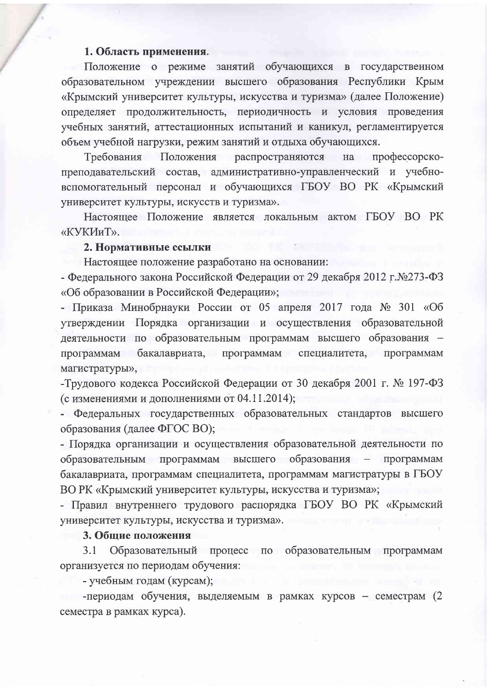### 1. Область применения.

Положение о режиме занятий обучающихся в государственном образовательном учреждении высшего образования Республики Крым «Крымский университет культуры, искусства и туризма» (далее Положение) определяет продолжительность, периодичность и условия проведения учебных занятий, аттестационных испытаний и каникул, регламентируется объем учебной нагрузки, режим занятий и отдыха обучающихся.

Требования Положения распространяются на профессорскопреподавательский состав, административно-управленческий и учебновспомогательный персонал и обучающихся ГБОУ ВО РК «Крымский университет культуры, искусств и туризма».

Настоящее Положение является локальным актом ГБОУ ВО РК «КУКИиТ».

#### 2. Нормативные ссылки

Настоящее положение разработано на основании:

- Федерального закона Российской Федерации от 29 декабря 2012 г. №273-ФЗ «Об образовании в Российской Федерации»;

- Приказа Минобрнауки России от 05 апреля 2017 года № 301 «Об утверждении Порядка организации и осуществления образовательной деятельности по образовательным программам высшего образования программам бакалавриата, программам специалитета, программам магистратуры»,

- Трудового кодекса Российской Федерации от 30 декабря 2001 г. № 197-ФЗ (с изменениями и дополнениями от 04.11.2014);

- Федеральных государственных образовательных стандартов высшего образования (далее ФГОС ВО);

- Порядка организации и осуществления образовательной деятельности по высшего образования - программам образовательным программам бакалавриата, программам специалитета, программам магистратуры в ГБОУ ВО РК «Крымский университет культуры, искусства и туризма»;

- Правил внутреннего трудового распорядка ГБОУ ВО РК «Крымский университет культуры, искусства и туризма».

#### 3. Общие положения

Образовательный процесс по образовательным программам  $3.1$ организуется по периодам обучения:

- учебным годам (курсам);

-периодам обучения, выделяемым в рамках курсов - семестрам (2 семестра в рамках курса).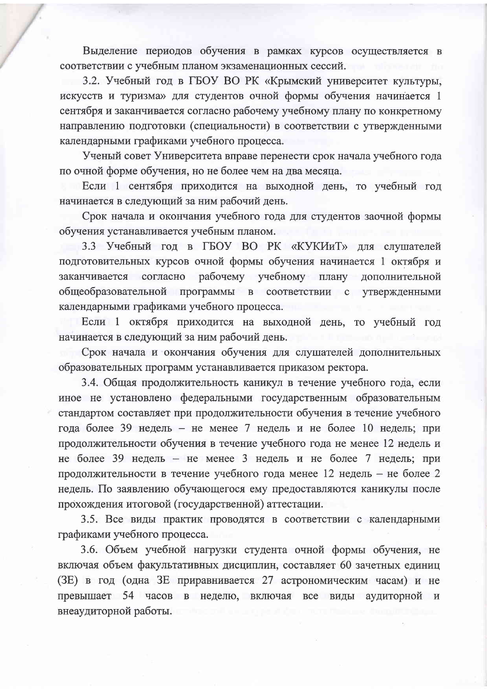Выделение периодов обучения в рамках курсов осуществляется в соответствии с учебным планом экзаменационных сессий.

3.2. Учебный год в ГБОУ ВО РК «Крымский университет культуры, искусств и туризма» для студентов очной формы обучения начинается 1 сентября и заканчивается согласно рабочему учебному плану по конкретному направлению подготовки (специальности) в соответствии с утвержденными календарными графиками учебного процесса.

Ученый совет Университета вправе перенести срок начала учебного года по очной форме обучения, но не более чем на два месяца.

Если 1 сентября приходится на выходной день, то учебный год начинается в следующий за ним рабочий день.

Срок начала и окончания учебного года для студентов заочной формы обучения устанавливается учебным планом.

3.3 Учебный год в ГБОУ ВО РК «КУКИиТ» для слушателей подготовительных курсов очной формы обучения начинается 1 октября и заканчивается согласно рабочему учебному плану дополнительной общеобразовательной программы в соответствии с утвержденными календарными графиками учебного процесса.

Если 1 октября приходится на выходной день, то учебный год начинается в следующий за ним рабочий день.

Срок начала и окончания обучения для слушателей дополнительных образовательных программ устанавливается приказом ректора.

3.4. Общая продолжительность каникул в течение учебного года, если иное не установлено федеральными государственным образовательным стандартом составляет при продолжительности обучения в течение учебного года более 39 недель - не менее 7 недель и не более 10 недель; при продолжительности обучения в течение учебного года не менее 12 недель и не более 39 недель – не менее 3 недель и не более 7 недель; при продолжительности в течение учебного года менее 12 недель - не более 2 недель. По заявлению обучающегося ему предоставляются каникулы после прохождения итоговой (государственной) аттестации.

3.5. Все виды практик проводятся в соответствии с календарными графиками учебного процесса.

3.6. Объем учебной нагрузки студента очной формы обучения, не включая объем факультативных дисциплин, составляет 60 зачетных единиц (ЗЕ) в год (одна ЗЕ приравнивается 27 астрономическим часам) и не превышает 54 часов в неделю, включая все виды аудиторной и внеаудиторной работы.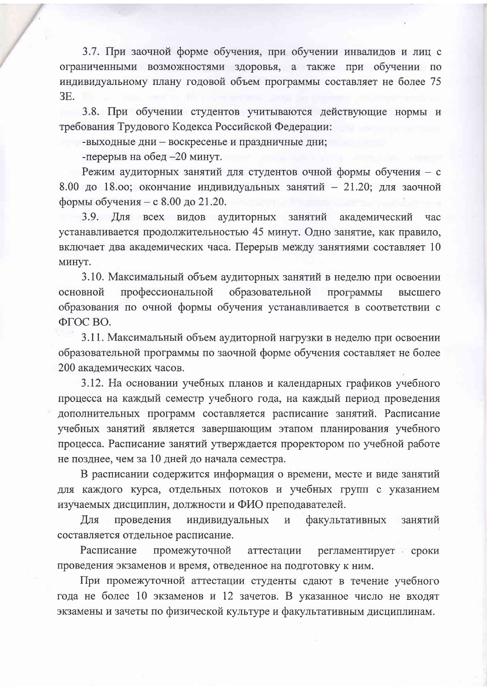3.7. При заочной форме обучения, при обучении инвалидов и лиц с ограниченными возможностями здоровья, а также при обучении по индивидуальному плану годовой объем программы составляет не более 75 **3E.** 

3.8. При обучении студентов учитываются действующие нормы и требования Трудового Кодекса Российской Федерации:

-выходные дни - воскресенье и праздничные дни;

-перерыв на обед -20 минут.

Режим аудиторных занятий для студентов очной формы обучения - с 8.00 до 18.00; окончание индивидуальных занятий - 21.20; для заочной формы обучения - с 8.00 до 21.20.

3.9. Для всех видов аудиторных занятий академический час устанавливается продолжительностью 45 минут. Одно занятие, как правило, включает два академических часа. Перерыв между занятиями составляет 10 минут.

3.10. Максимальный объем аудиторных занятий в неделю при освоении основной профессиональной образовательной программы высшего образования по очной формы обучения устанавливается в соответствии с ФГОС ВО.

3.11. Максимальный объем аудиторной нагрузки в неделю при освоении образовательной программы по заочной форме обучения составляет не более 200 академических часов.

3.12. На основании учебных планов и календарных графиков учебного процесса на каждый семестр учебного года, на каждый период проведения дополнительных программ составляется расписание занятий. Расписание учебных занятий является завершающим этапом планирования учебного процесса. Расписание занятий утверждается проректором по учебной работе не позднее, чем за 10 дней до начала семестра.

В расписании содержится информация о времени, месте и виде занятий для каждого курса, отдельных потоков и учебных групп с указанием изучаемых дисциплин, должности и ФИО преподавателей.

Для проведения индивидуальных  $\, {\rm H}$ факультативных занятий составляется отдельное расписание.

Расписание промежуточной аттестации регламентирует сроки проведения экзаменов и время, отведенное на подготовку к ним.

При промежуточной аттестации студенты сдают в течение учебного года не более 10 экзаменов и 12 зачетов. В указанное число не входят экзамены и зачеты по физической культуре и факультативным дисциплинам.